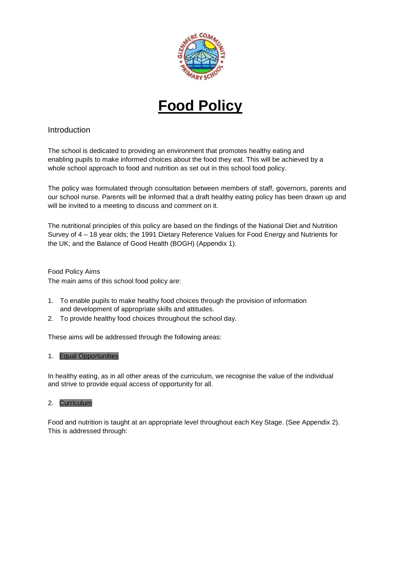

# **Food Policy**

## Introduction

The school is dedicated to providing an environment that promotes healthy eating and enabling pupils to make informed choices about the food they eat. This will be achieved by a whole school approach to food and nutrition as set out in this school food policy.

The policy was formulated through consultation between members of staff, governors, parents and our school nurse. Parents will be informed that a draft healthy eating policy has been drawn up and will be invited to a meeting to discuss and comment on it.

The nutritional principles of this policy are based on the findings of the National Diet and Nutrition Survey of 4 – 18 year olds; the 1991 Dietary Reference Values for Food Energy and Nutrients for the UK; and the Balance of Good Health (BOGH) (Appendix 1).

Food Policy Aims The main aims of this school food policy are:

- 1. To enable pupils to make healthy food choices through the provision of information and development of appropriate skills and attitudes.
- 2. To provide healthy food choices throughout the school day.

These aims will be addressed through the following areas:

## 1. Equal Opportunities

In healthy eating, as in all other areas of the curriculum, we recognise the value of the individual and strive to provide equal access of opportunity for all.

## 2. Curriculum

Food and nutrition is taught at an appropriate level throughout each Key Stage. (See Appendix 2). This is addressed through: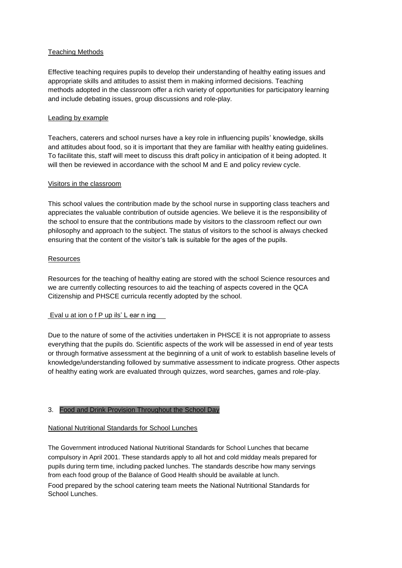## Teaching Methods

Effective teaching requires pupils to develop their understanding of healthy eating issues and appropriate skills and attitudes to assist them in making informed decisions. Teaching methods adopted in the classroom offer a rich variety of opportunities for participatory learning and include debating issues, group discussions and role-play.

#### Leading by example

Teachers, caterers and school nurses have a key role in influencing pupils' knowledge, skills and attitudes about food, so it is important that they are familiar with healthy eating guidelines. To facilitate this, staff will meet to discuss this draft policy in anticipation of it being adopted. It will then be reviewed in accordance with the school M and E and policy review cycle.

#### Visitors in the classroom

This school values the contribution made by the school nurse in supporting class teachers and appreciates the valuable contribution of outside agencies. We believe it is the responsibility of the school to ensure that the contributions made by visitors to the classroom reflect our own philosophy and approach to the subject. The status of visitors to the school is always checked ensuring that the content of the visitor's talk is suitable for the ages of the pupils.

#### Resources

Resources for the teaching of healthy eating are stored with the school Science resources and we are currently collecting resources to aid the teaching of aspects covered in the QCA Citizenship and PHSCE curricula recently adopted by the school.

## Eval u at ion o f P up ils' L ear n ing

Due to the nature of some of the activities undertaken in PHSCE it is not appropriate to assess everything that the pupils do. Scientific aspects of the work will be assessed in end of year tests or through formative assessment at the beginning of a unit of work to establish baseline levels of knowledge/understanding followed by summative assessment to indicate progress. Other aspects of healthy eating work are evaluated through quizzes, word searches, games and role-play.

#### 3. Food and Drink Provision Throughout the School Day

## National Nutritional Standards for School Lunches

The Government introduced National Nutritional Standards for School Lunches that became compulsory in April 2001. These standards apply to all hot and cold midday meals prepared for pupils during term time, including packed lunches. The standards describe how many servings from each food group of the Balance of Good Health should be available at lunch.

Food prepared by the school catering team meets the National Nutritional Standards for School Lunches.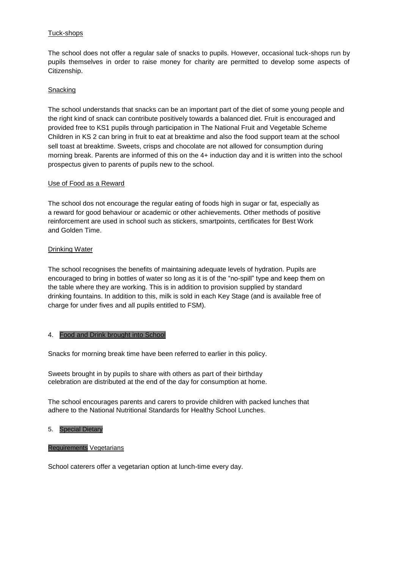## Tuck-shops

The school does not offer a regular sale of snacks to pupils. However, occasional tuck-shops run by pupils themselves in order to raise money for charity are permitted to develop some aspects of Citizenship.

## **Snacking**

The school understands that snacks can be an important part of the diet of some young people and the right kind of snack can contribute positively towards a balanced diet. Fruit is encouraged and provided free to KS1 pupils through participation in The National Fruit and Vegetable Scheme Children in KS 2 can bring in fruit to eat at breaktime and also the food support team at the school sell toast at breaktime. Sweets, crisps and chocolate are not allowed for consumption during morning break. Parents are informed of this on the 4+ induction day and it is written into the school prospectus given to parents of pupils new to the school.

## Use of Food as a Reward

The school dos not encourage the regular eating of foods high in sugar or fat, especially as a reward for good behaviour or academic or other achievements. Other methods of positive reinforcement are used in school such as stickers, smartpoints, certificates for Best Work and Golden Time.

#### Drinking Water

The school recognises the benefits of maintaining adequate levels of hydration. Pupils are encouraged to bring in bottles of water so long as it is of the "no-spill" type and keep them on the table where they are working. This is in addition to provision supplied by standard drinking fountains. In addition to this, milk is sold in each Key Stage (and is available free of charge for under fives and all pupils entitled to FSM).

## 4. Food and Drink brought into School

Snacks for morning break time have been referred to earlier in this policy.

Sweets brought in by pupils to share with others as part of their birthday celebration are distributed at the end of the day for consumption at home.

The school encourages parents and carers to provide children with packed lunches that adhere to the National Nutritional Standards for Healthy School Lunches.

#### 5. Special Dietary

#### Requirements Vegetarians

School caterers offer a vegetarian option at lunch-time every day.